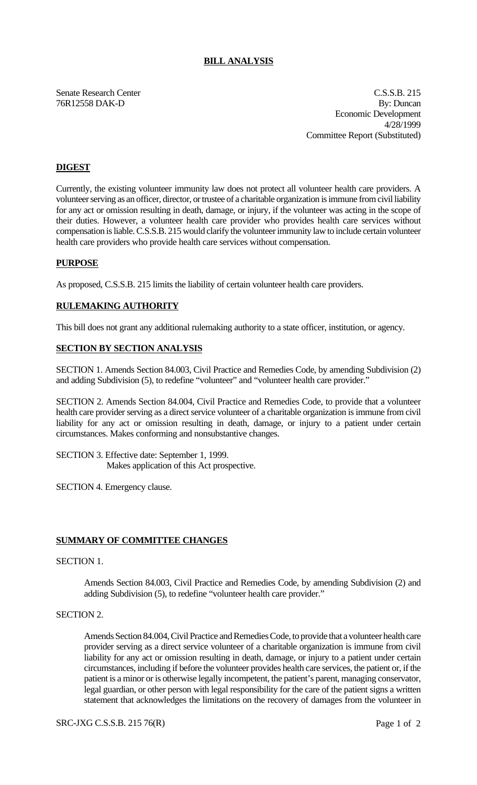# **BILL ANALYSIS**

Senate Research Center C.S.S.B. 215 76R12558 DAK-D By: Duncan Economic Development 4/28/1999 Committee Report (Substituted)

# **DIGEST**

Currently, the existing volunteer immunity law does not protect all volunteer health care providers. A volunteer serving as an officer, director, or trustee of a charitable organization is immune from civil liability for any act or omission resulting in death, damage, or injury, if the volunteer was acting in the scope of their duties. However, a volunteer health care provider who provides health care services without compensation is liable. C.S.S.B. 215 would clarify the volunteer immunity law to include certain volunteer health care providers who provide health care services without compensation.

## **PURPOSE**

As proposed, C.S.S.B. 215 limits the liability of certain volunteer health care providers.

## **RULEMAKING AUTHORITY**

This bill does not grant any additional rulemaking authority to a state officer, institution, or agency.

#### **SECTION BY SECTION ANALYSIS**

SECTION 1. Amends Section 84.003, Civil Practice and Remedies Code, by amending Subdivision (2) and adding Subdivision (5), to redefine "volunteer" and "volunteer health care provider."

SECTION 2. Amends Section 84.004, Civil Practice and Remedies Code, to provide that a volunteer health care provider serving as a direct service volunteer of a charitable organization is immune from civil liability for any act or omission resulting in death, damage, or injury to a patient under certain circumstances. Makes conforming and nonsubstantive changes.

SECTION 3. Effective date: September 1, 1999. Makes application of this Act prospective.

SECTION 4. Emergency clause.

#### **SUMMARY OF COMMITTEE CHANGES**

## SECTION 1.

Amends Section 84.003, Civil Practice and Remedies Code, by amending Subdivision (2) and adding Subdivision (5), to redefine "volunteer health care provider."

# SECTION 2.

Amends Section 84.004, Civil Practice and Remedies Code, to provide that a volunteer health care provider serving as a direct service volunteer of a charitable organization is immune from civil liability for any act or omission resulting in death, damage, or injury to a patient under certain circumstances, including if before the volunteer provides health care services, the patient or, if the patient is a minor or is otherwise legally incompetent, the patient's parent, managing conservator, legal guardian, or other person with legal responsibility for the care of the patient signs a written statement that acknowledges the limitations on the recovery of damages from the volunteer in